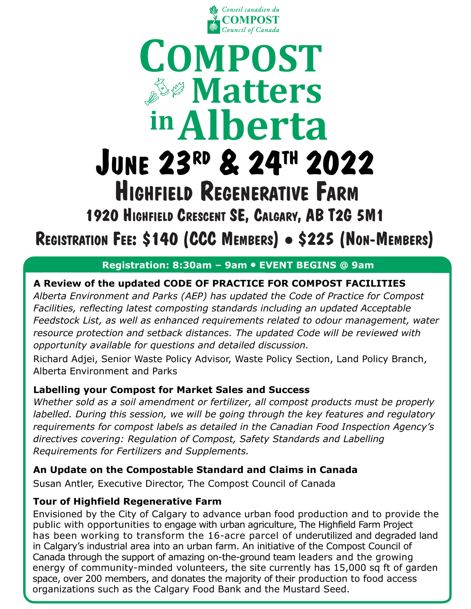

## **inAlberta COMPOST**  *Matters* **JUNE 23RD & 24TH 2022 HIGHFIELD REGENERATIVE FARM**

**1920 HIGHFIELD CRESCENT SE, CALGARY, AB T2G 5M1**

**REGISTRATION FEE: \$140 (CCC MEMBERS) \$225 (NON-MEMBERS)**

#### **Registration: 8:30am – 9am EVENT BEGINS @ 9am**

### **A Review of the updated CODE OF PRACTICE FOR COMPOST FACILITIES**

*Alberta Environment and Parks (AEP) has updated the Code of Practice for Compost Facilities, reflecting latest composting standards including an updated Acceptable Feedstock List, as well as enhanced requirements related to odour management, water resource protection and setback distances. The updated Code will be reviewed with opportunity available for questions and detailed discussion.*

Richard Adjei, Senior Waste Policy Advisor, Waste Policy Section, Land Policy Branch, Alberta Environment and Parks

#### **Labelling your Compost for Market Sales and Success**

*Whether sold as a soil amendment or fertilizer, all compost products must be properly labelled. During this session, we will be going through the key features and regulatory requirements for compost labels as detailed in the Canadian Food Inspection Agency's directives covering: Regulation of Compost, Safety Standards and Labelling Requirements for Fertilizers and Supplements.*

#### **An Update on the Compostable Standard and Claims in Canada**

Susan Antler, Executive Director, The Compost Council of Canada

#### **Tour of Highfield Regenerative Farm**

Envisioned by the City of Calgary to advance urban food production and to provide the public with opportunities to engage with urban agriculture, The Highfield Farm Project has been working to transform the 16-acre parcel of underutilized and degraded land in Calgary's industrial area into an urban farm. An initiative of the Compost Council of Canada through the support of amazing on-the-ground team leaders and the growing energy of community-minded volunteers, the site currently has 15,000 sq ft of garden space, over 200 members, and donates the majority of their production to food access organizations such as the Calgary Food Bank and the Mustard Seed.